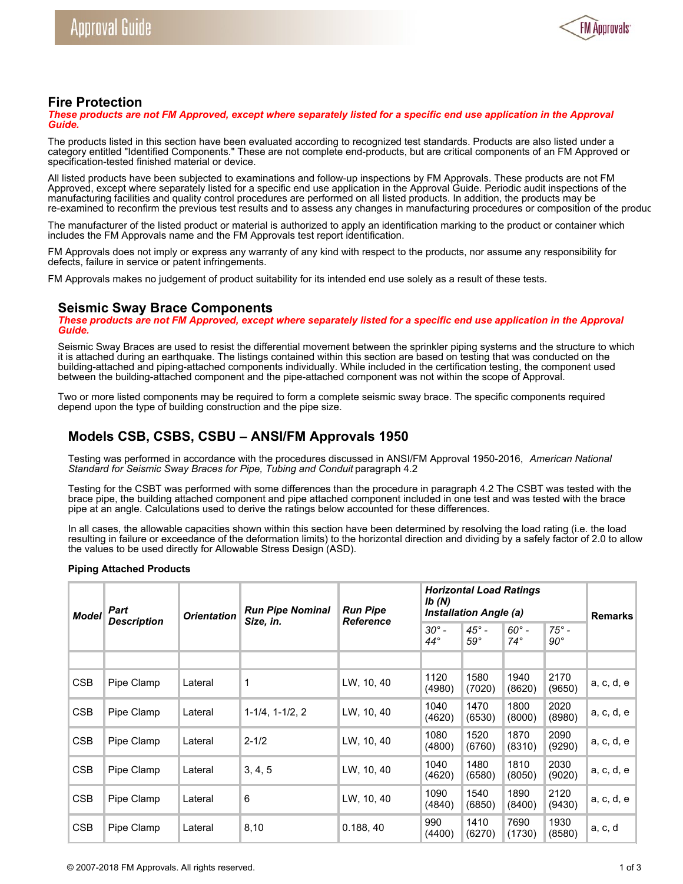

# **Fire Protection**

#### *These products are not FM Approved, except where separately listed for a specific end use application in the Approval Guide.*

The products listed in this section have been evaluated according to recognized test standards. Products are also listed under a category entitled "Identified Components." These are not complete end-products, but are critical components of an FM Approved or specification-tested finished material or device.

All listed products have been subjected to examinations and follow-up inspections by FM Approvals. These products are not FM Approved, except where separately listed for a specific end use application in the Approval Guide. Periodic audit inspections of the manufacturing facilities and quality control procedures are performed on all listed products. In addition, the products may be re-examined to reconfirm the previous test results and to assess any changes in manufacturing procedures or composition of the produc

The manufacturer of the listed product or material is authorized to apply an identification marking to the product or container which includes the FM Approvals name and the FM Approvals test report identification.

FM Approvals does not imply or express any warranty of any kind with respect to the products, nor assume any responsibility for defects, failure in service or patent infringements.

FM Approvals makes no judgement of product suitability for its intended end use solely as a result of these tests.

### **Seismic Sway Brace Components**

*These products are not FM Approved, except where separately listed for a specific end use application in the Approval Guide.*

Seismic Sway Braces are used to resist the differential movement between the sprinkler piping systems and the structure to which it is attached during an earthquake. The listings contained within this section are based on testing that was conducted on the building-attached and piping-attached components individually. While included in the certification testing, the component used between the building-attached component and the pipe-attached component was not within the scope of Approval.

Two or more listed components may be required to form a complete seismic sway brace. The specific components required depend upon the type of building construction and the pipe size.

## **Models CSB, CSBS, CSBU – ANSI/FM Approvals 1950**

Testing was performed in accordance with the procedures discussed in ANSI/FM Approval 1950-2016, *American National Standard for Seismic Sway Braces for Pipe, Tubing and Conduit* paragraph 4.2

Testing for the CSBT was performed with some differences than the procedure in paragraph 4.2 The CSBT was tested with the brace pipe, the building attached component and pipe attached component included in one test and was tested with the brace pipe at an angle. Calculations used to derive the ratings below accounted for these differences.

In all cases, the allowable capacities shown within this section have been determined by resolving the load rating (i.e. the load resulting in failure or exceedance of the deformation limits) to the horizontal direction and dividing by a safely factor of 2.0 to allow the values to be used directly for Allowable Stress Design (ASD).

### **Piping Attached Products**

| <b>Model</b> | Part               | <b>Orientation</b> | <b>Run Pipe Nominal</b> | <b>Horizontal Load Ratings</b><br>Ib(N)<br><b>Run Pipe</b><br><b>Installation Angle (a)</b><br><b>Reference</b> |                              | <b>Remarks</b>               |                            |                              |            |
|--------------|--------------------|--------------------|-------------------------|-----------------------------------------------------------------------------------------------------------------|------------------------------|------------------------------|----------------------------|------------------------------|------------|
|              | <b>Description</b> |                    | Size, in.               |                                                                                                                 | $30^\circ$ -<br>$44^{\circ}$ | $45^\circ$ -<br>$59^{\circ}$ | $60^\circ$ -<br>$74^\circ$ | $75^\circ$ -<br>$90^{\circ}$ |            |
|              |                    |                    |                         |                                                                                                                 |                              |                              |                            |                              |            |
| <b>CSB</b>   | Pipe Clamp         | Lateral            | 1                       | LW, 10, 40                                                                                                      | 1120<br>(4980)               | 1580<br>(7020)               | 1940<br>(8620)             | 2170<br>(9650)               | a, c, d, e |
| <b>CSB</b>   | Pipe Clamp         | Lateral            | $1-1/4$ , $1-1/2$ , $2$ | LW, 10, 40                                                                                                      | 1040<br>(4620)               | 1470<br>(6530)               | 1800<br>(8000)             | 2020<br>(8980)               | a, c, d, e |
| <b>CSB</b>   | Pipe Clamp         | Lateral            | $2 - 1/2$               | LW, 10, 40                                                                                                      | 1080<br>(4800)               | 1520<br>(6760)               | 1870<br>(8310)             | 2090<br>(9290)               | a, c, d, e |
| <b>CSB</b>   | Pipe Clamp         | Lateral            | 3, 4, 5                 | LW, 10, 40                                                                                                      | 1040<br>(4620)               | 1480<br>(6580)               | 1810<br>(8050)             | 2030<br>(9020)               | a, c, d, e |
| <b>CSB</b>   | Pipe Clamp         | Lateral            | 6                       | LW, 10, 40                                                                                                      | 1090<br>(4840)               | 1540<br>(6850)               | 1890<br>(8400)             | 2120<br>(9430)               | a, c, d, e |
| <b>CSB</b>   | Pipe Clamp         | Lateral            | 8,10                    | 0.188, 40                                                                                                       | 990<br>(4400)                | 1410<br>(6270)               | 7690<br>(1730)             | 1930<br>(8580)               | a, c, d    |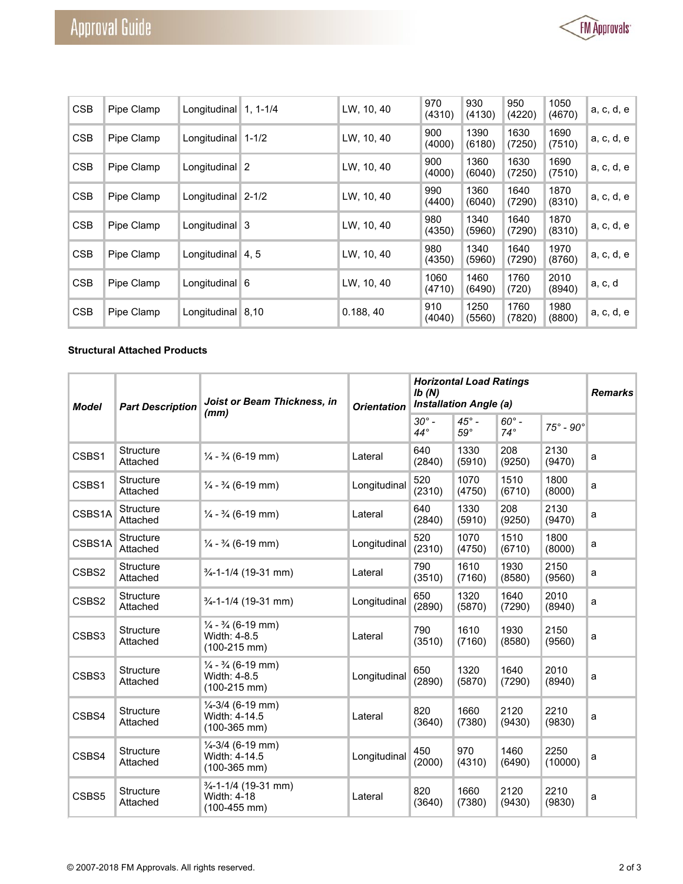| <b>CSB</b> | Pipe Clamp | Longitudinal $\vert$ 1, 1-1/4 | LW, 10, 40 | 970<br>(4310)  | 930<br>(4130)  | 950<br>(4220)  | 1050<br>(4670) | a, c, d, e |
|------------|------------|-------------------------------|------------|----------------|----------------|----------------|----------------|------------|
| <b>CSB</b> | Pipe Clamp | Longitudinal $ 1-1/2 $        | LW, 10, 40 | 900<br>(4000)  | 1390<br>(6180) | 1630<br>(7250) | 1690<br>(7510) | a, c, d, e |
| <b>CSB</b> | Pipe Clamp | Longitudinal 2                | LW, 10, 40 | 900<br>(4000)  | 1360<br>(6040) | 1630<br>(7250) | 1690<br>(7510) | a, c, d, e |
| <b>CSB</b> | Pipe Clamp | Longitudinal $2-1/2$          | LW, 10, 40 | 990<br>(4400)  | 1360<br>(6040) | 1640<br>(7290) | 1870<br>(8310) | a, c, d, e |
| <b>CSB</b> | Pipe Clamp | Longitudinal $\vert 3 \vert$  | LW, 10, 40 | 980<br>(4350)  | 1340<br>(5960) | 1640<br>(7290) | 1870<br>(8310) | a, c, d, e |
| <b>CSB</b> | Pipe Clamp | Longitudinal $ 4, 5$          | LW, 10, 40 | 980<br>(4350)  | 1340<br>(5960) | 1640<br>(7290) | 1970<br>(8760) | a, c, d, e |
| <b>CSB</b> | Pipe Clamp | Longitudinal $\vert 6$        | LW, 10, 40 | 1060<br>(4710) | 1460<br>(6490) | 1760<br>(720)  | 2010<br>(8940) | a, c, d    |
| <b>CSB</b> | Pipe Clamp | Longitudinal 8,10             | 0.188, 40  | 910<br>(4040)  | 1250<br>(5560) | 1760<br>(7820) | 1980<br>(8800) | a, c, d, e |

### **Structural Attached Products**

| <b>Model</b> | <b>Part Description</b>      | Joist or Beam Thickness, in                                               | <b>Orientation</b> | <b>Horizontal Load Ratings</b><br>Ib(N)<br><b>Installation Angle (a)</b> |                            |                            |                             | <b>Remarks</b> |
|--------------|------------------------------|---------------------------------------------------------------------------|--------------------|--------------------------------------------------------------------------|----------------------------|----------------------------|-----------------------------|----------------|
|              |                              | (mm)                                                                      |                    | $30^\circ$ -<br>$44^{\circ}$                                             | $45^\circ$ -<br>$59^\circ$ | $60^\circ$ -<br>$74^\circ$ | $75^{\circ}$ - $90^{\circ}$ |                |
| CSBS1        | Structure<br>Attached        | $\frac{1}{4}$ - $\frac{3}{4}$ (6-19 mm)                                   | Lateral            | 640<br>(2840)                                                            | 1330<br>(5910)             | 208<br>(9250)              | 2130<br>(9470)              | a              |
| CSBS1        | <b>Structure</b><br>Attached | $\frac{1}{4}$ - $\frac{3}{4}$ (6-19 mm)                                   | Longitudinal       | 520<br>(2310)                                                            | 1070<br>(4750)             | 1510<br>(6710)             | 1800<br>(8000)              | a              |
| CSBS1A       | Structure<br>Attached        | $\frac{1}{4}$ - $\frac{3}{4}$ (6-19 mm)                                   | Lateral            | 640<br>(2840)                                                            | 1330<br>(5910)             | 208<br>(9250)              | 2130<br>(9470)              | а              |
| CSBS1A       | Structure<br>Attached        | $\frac{1}{4}$ - $\frac{3}{4}$ (6-19 mm)                                   | Longitudinal       | 520<br>(2310)                                                            | 1070<br>(4750)             | 1510<br>(6710)             | 1800<br>(8000)              | a              |
| CSBS2        | Structure<br>Attached        | $\frac{3}{4}$ -1-1/4 (19-31 mm)                                           | Lateral            | 790<br>(3510)                                                            | 1610<br>(7160)             | 1930<br>(8580)             | 2150<br>(9560)              | a              |
| CSBS2        | Structure<br>Attached        | $\frac{3}{4}$ -1-1/4 (19-31 mm)                                           | Longitudinal       | 650<br>(2890)                                                            | 1320<br>(5870)             | 1640<br>(7290)             | 2010<br>(8940)              | a              |
| CSBS3        | <b>Structure</b><br>Attached | $\frac{1}{4}$ - $\frac{3}{4}$ (6-19 mm)<br>Width: 4-8.5<br>$(100-215$ mm) | Lateral            | 790<br>(3510)                                                            | 1610<br>(7160)             | 1930<br>(8580)             | 2150<br>(9560)              | a              |
| CSBS3        | Structure<br>Attached        | $\frac{1}{4}$ - $\frac{3}{4}$ (6-19 mm)<br>Width: 4-8.5<br>$(100-215$ mm) | Longitudinal       | 650<br>(2890)                                                            | 1320<br>(5870)             | 1640<br>(7290)             | 2010<br>(8940)              | a              |
| CSBS4        | <b>Structure</b><br>Attached | $\frac{1}{4}$ -3/4 (6-19 mm)<br>Width: 4-14.5<br>$(100-365$ mm)           | Lateral            | 820<br>(3640)                                                            | 1660<br>(7380)             | 2120<br>(9430)             | 2210<br>(9830)              | а              |
| CSBS4        | Structure<br>Attached        | $\frac{1}{4}$ -3/4 (6-19 mm)<br>Width: 4-14.5<br>$(100-365$ mm)           | Longitudinal       | 450<br>(2000)                                                            | 970<br>(4310)              | 1460<br>(6490)             | 2250<br>(10000)             | a              |
| CSBS5        | <b>Structure</b><br>Attached | $\frac{3}{4}$ -1-1/4 (19-31 mm)<br>Width: 4-18<br>$(100-455$ mm)          | Lateral            | 820<br>(3640)                                                            | 1660<br>(7380)             | 2120<br>(9430)             | 2210<br>(9830)              | a              |